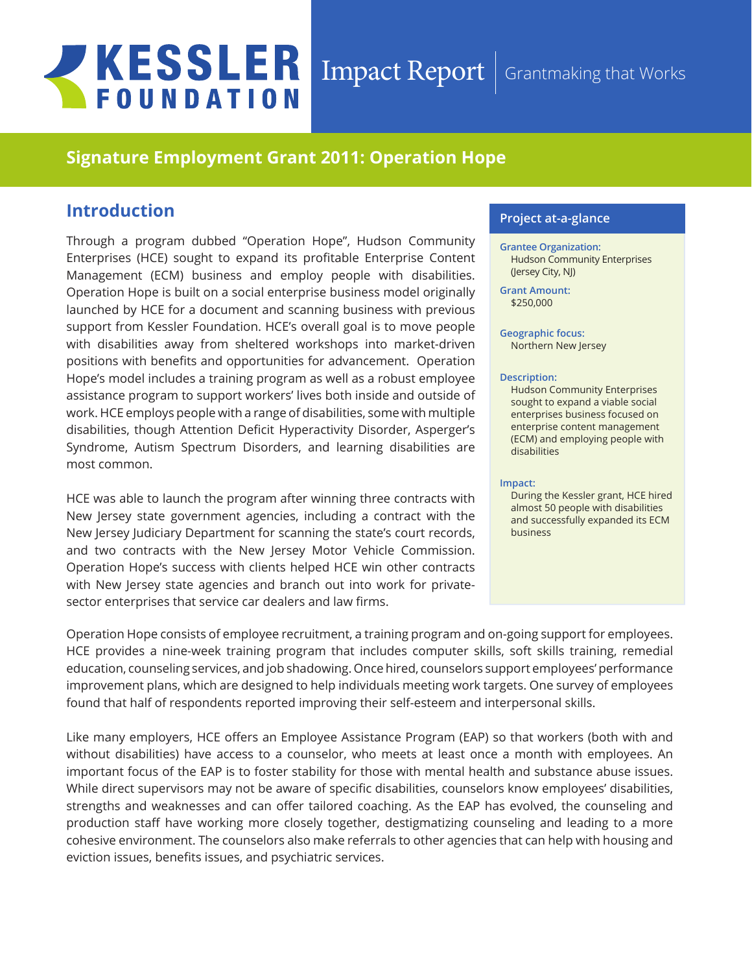# **JKESSLER FOUNDATION**

### Impact Report Grantmaking that Works

# **Signature Employment Grant 2011: Operation Hope**

# **Introduction**

Through a program dubbed "Operation Hope", Hudson Community Enterprises (HCE) sought to expand its profitable Enterprise Content Management (ECM) business and employ people with disabilities. Operation Hope is built on a social enterprise business model originally launched by HCE for a document and scanning business with previous support from Kessler Foundation. HCE's overall goal is to move people with disabilities away from sheltered workshops into market-driven positions with benefits and opportunities for advancement. Operation Hope's model includes a training program as well as a robust employee assistance program to support workers' lives both inside and outside of work. HCE employs people with a range of disabilities, some with multiple disabilities, though Attention Deficit Hyperactivity Disorder, Asperger's Syndrome, Autism Spectrum Disorders, and learning disabilities are most common.

HCE was able to launch the program after winning three contracts with New Jersey state government agencies, including a contract with the New Jersey Judiciary Department for scanning the state's court records, and two contracts with the New Jersey Motor Vehicle Commission. Operation Hope's success with clients helped HCE win other contracts with New Jersey state agencies and branch out into work for privatesector enterprises that service car dealers and law firms.

#### **Project at-a-glance**

**Grantee Organization:** Hudson Community Enterprises (Jersey City, NJ)

**Grant Amount:**  \$250,000

**Geographic focus:**  Northern New Jersey

#### **Description:**

Hudson Community Enterprises sought to expand a viable social enterprises business focused on enterprise content management (ECM) and employing people with disabilities

#### **Impact:**

During the Kessler grant, HCE hired almost 50 people with disabilities and successfully expanded its ECM business

Operation Hope consists of employee recruitment, a training program and on-going support for employees. HCE provides a nine-week training program that includes computer skills, soft skills training, remedial education, counseling services, and job shadowing. Once hired, counselors support employees' performance improvement plans, which are designed to help individuals meeting work targets. One survey of employees found that half of respondents reported improving their self-esteem and interpersonal skills.

Like many employers, HCE offers an Employee Assistance Program (EAP) so that workers (both with and without disabilities) have access to a counselor, who meets at least once a month with employees. An important focus of the EAP is to foster stability for those with mental health and substance abuse issues. While direct supervisors may not be aware of specific disabilities, counselors know employees' disabilities, strengths and weaknesses and can offer tailored coaching. As the EAP has evolved, the counseling and production staff have working more closely together, destigmatizing counseling and leading to a more cohesive environment. The counselors also make referrals to other agencies that can help with housing and eviction issues, benefits issues, and psychiatric services.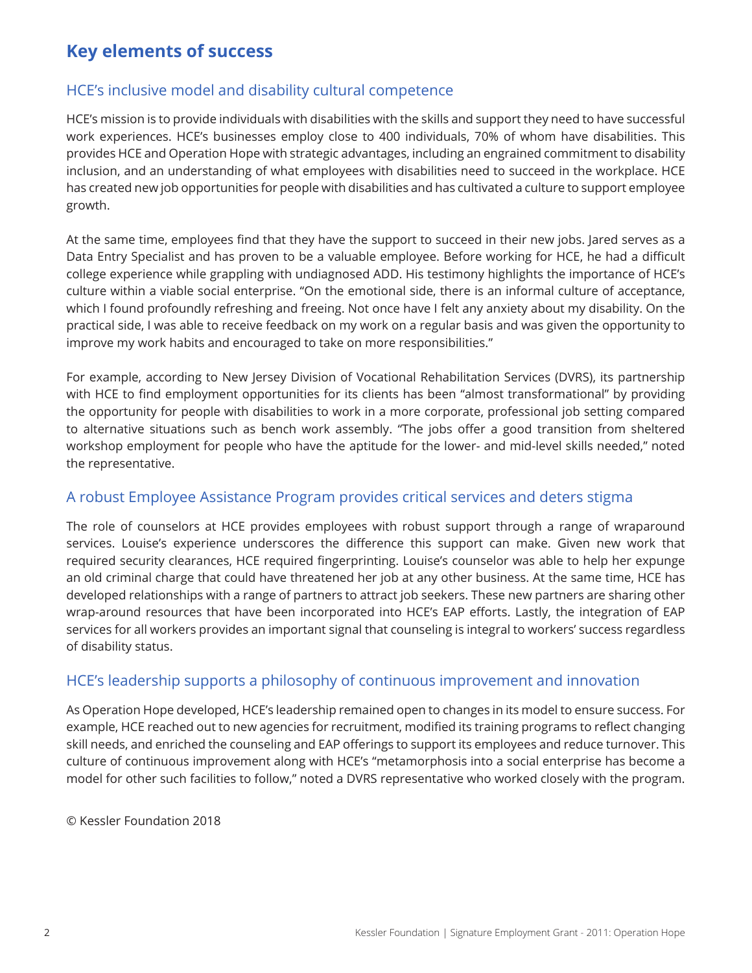# **Key elements of success**

# HCE's inclusive model and disability cultural competence

HCE's mission is to provide individuals with disabilities with the skills and support they need to have successful work experiences. HCE's businesses employ close to 400 individuals, 70% of whom have disabilities. This provides HCE and Operation Hope with strategic advantages, including an engrained commitment to disability inclusion, and an understanding of what employees with disabilities need to succeed in the workplace. HCE has created new job opportunities for people with disabilities and has cultivated a culture to support employee growth.

At the same time, employees find that they have the support to succeed in their new jobs. Jared serves as a Data Entry Specialist and has proven to be a valuable employee. Before working for HCE, he had a difficult college experience while grappling with undiagnosed ADD. His testimony highlights the importance of HCE's culture within a viable social enterprise. "On the emotional side, there is an informal culture of acceptance, which I found profoundly refreshing and freeing. Not once have I felt any anxiety about my disability. On the practical side, I was able to receive feedback on my work on a regular basis and was given the opportunity to improve my work habits and encouraged to take on more responsibilities."

For example, according to New Jersey Division of Vocational Rehabilitation Services (DVRS), its partnership with HCE to find employment opportunities for its clients has been "almost transformational" by providing the opportunity for people with disabilities to work in a more corporate, professional job setting compared to alternative situations such as bench work assembly. "The jobs offer a good transition from sheltered workshop employment for people who have the aptitude for the lower- and mid-level skills needed," noted the representative.

# A robust Employee Assistance Program provides critical services and deters stigma

The role of counselors at HCE provides employees with robust support through a range of wraparound services. Louise's experience underscores the difference this support can make. Given new work that required security clearances, HCE required fingerprinting. Louise's counselor was able to help her expunge an old criminal charge that could have threatened her job at any other business. At the same time, HCE has developed relationships with a range of partners to attract job seekers. These new partners are sharing other wrap-around resources that have been incorporated into HCE's EAP efforts. Lastly, the integration of EAP services for all workers provides an important signal that counseling is integral to workers' success regardless of disability status.

# HCE's leadership supports a philosophy of continuous improvement and innovation

As Operation Hope developed, HCE's leadership remained open to changes in its model to ensure success. For example, HCE reached out to new agencies for recruitment, modified its training programs to reflect changing skill needs, and enriched the counseling and EAP offerings to support its employees and reduce turnover. This culture of continuous improvement along with HCE's "metamorphosis into a social enterprise has become a model for other such facilities to follow," noted a DVRS representative who worked closely with the program.

© Kessler Foundation 2018